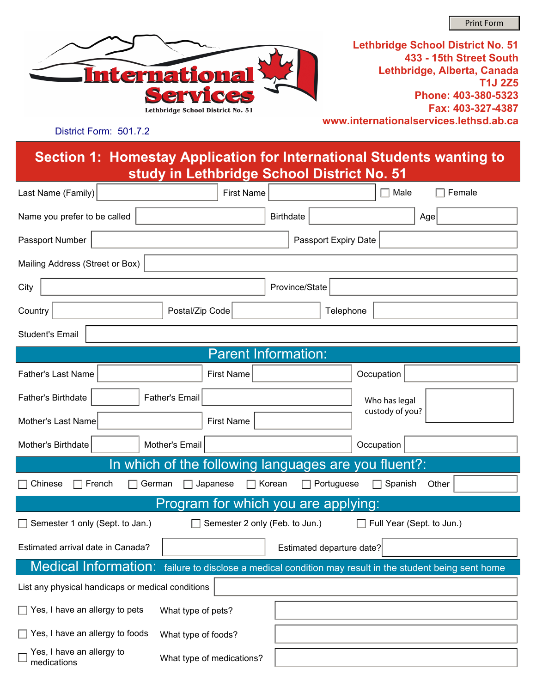Print Form



**Lethbridge School District No. 51 433 - 15th Street South Lethbridge, Alberta, Canada T1J 2Z5 Phone: 403-380-5323 Fax: 403-327-4387 www.internationalservices.lethsd.ab.ca**

District Form: 501.7.2

**Section 1: Homestay Application for International Students wanting to study in Lethbridge School District No. 51**

| Last Name (Family)                                                                                        |                                                                                   | <b>First Name</b>          |                  |           | Male            |     | Female |  |
|-----------------------------------------------------------------------------------------------------------|-----------------------------------------------------------------------------------|----------------------------|------------------|-----------|-----------------|-----|--------|--|
| Name you prefer to be called                                                                              |                                                                                   |                            | <b>Birthdate</b> |           |                 | Age |        |  |
| Passport Number<br>Passport Expiry Date                                                                   |                                                                                   |                            |                  |           |                 |     |        |  |
| Mailing Address (Street or Box)                                                                           |                                                                                   |                            |                  |           |                 |     |        |  |
| City<br>Province/State                                                                                    |                                                                                   |                            |                  |           |                 |     |        |  |
| Country                                                                                                   | Postal/Zip Code                                                                   |                            |                  | Telephone |                 |     |        |  |
| <b>Student's Email</b>                                                                                    |                                                                                   |                            |                  |           |                 |     |        |  |
|                                                                                                           |                                                                                   | <b>Parent Information:</b> |                  |           |                 |     |        |  |
| <b>Father's Last Name</b>                                                                                 | <b>First Name</b>                                                                 |                            |                  |           | Occupation      |     |        |  |
| Father's Birthdate                                                                                        | <b>Father's Email</b>                                                             |                            |                  |           | Who has legal   |     |        |  |
| Mother's Last Name                                                                                        | <b>First Name</b>                                                                 |                            |                  |           | custody of you? |     |        |  |
| Mother's Birthdate                                                                                        | Mother's Email                                                                    |                            |                  |           | Occupation      |     |        |  |
| In which of the following languages are you fluent?:                                                      |                                                                                   |                            |                  |           |                 |     |        |  |
| German<br>$\Box$ Korean<br>Portuguese<br>Spanish<br>Chinese<br>French<br>Japanese<br>Other                |                                                                                   |                            |                  |           |                 |     |        |  |
| Program for which you are applying:                                                                       |                                                                                   |                            |                  |           |                 |     |        |  |
| Semester 1 only (Sept. to Jan.)<br>Semester 2 only (Feb. to Jun.)<br>Full Year (Sept. to Jun.)<br>$\perp$ |                                                                                   |                            |                  |           |                 |     |        |  |
| Estimated departure date?<br>Estimated arrival date in Canada?                                            |                                                                                   |                            |                  |           |                 |     |        |  |
| <b>Medical Information:</b>                                                                               | failure to disclose a medical condition may result in the student being sent home |                            |                  |           |                 |     |        |  |
| List any physical handicaps or medical conditions                                                         |                                                                                   |                            |                  |           |                 |     |        |  |
| $\Box$ Yes, I have an allergy to pets<br>What type of pets?                                               |                                                                                   |                            |                  |           |                 |     |        |  |
| Yes, I have an allergy to foods                                                                           | What type of foods?                                                               |                            |                  |           |                 |     |        |  |
| Yes, I have an allergy to<br>medications                                                                  | What type of medications?                                                         |                            |                  |           |                 |     |        |  |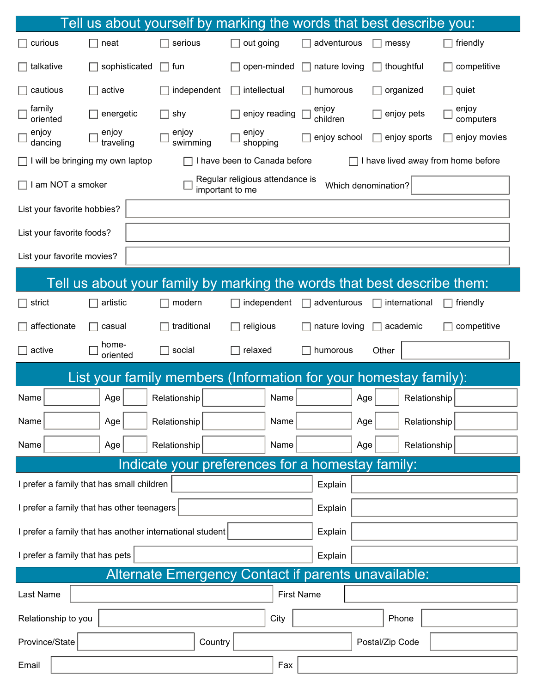|                                                                                                      |                                           |                   |                   |                                 | Tell us about yourself by marking the words that best describe you:     |                    |
|------------------------------------------------------------------------------------------------------|-------------------------------------------|-------------------|-------------------|---------------------------------|-------------------------------------------------------------------------|--------------------|
| curious                                                                                              | neat                                      | serious           | out going         | adventurous                     | messy                                                                   | friendly           |
| talkative                                                                                            | sophisticated                             | fun               | open-minded       | nature loving                   | thoughtful                                                              | competitive        |
| cautious                                                                                             | active                                    | independent       | intellectual      | humorous                        | organized                                                               | quiet              |
| family<br>oriented                                                                                   | energetic                                 | shy               | enjoy reading     | enjoy<br>children               | enjoy pets                                                              | enjoy<br>computers |
| enjoy<br>dancing                                                                                     | enjoy<br>traveling                        | enjoy<br>swimming | enjoy<br>shopping | enjoy school                    | enjoy sports                                                            | enjoy movies       |
| I have been to Canada before<br>I have lived away from home before<br>will be bringing my own laptop |                                           |                   |                   |                                 |                                                                         |                    |
| Regular religious attendance is<br>am NOT a smoker<br>Which denomination?<br>important to me         |                                           |                   |                   |                                 |                                                                         |                    |
| List your favorite hobbies?                                                                          |                                           |                   |                   |                                 |                                                                         |                    |
| List your favorite foods?                                                                            |                                           |                   |                   |                                 |                                                                         |                    |
| List your favorite movies?                                                                           |                                           |                   |                   |                                 |                                                                         |                    |
|                                                                                                      |                                           |                   |                   |                                 | Tell us about your family by marking the words that best describe them: |                    |
| strict                                                                                               | artistic                                  | modern            | independent       | adventurous                     | international                                                           | friendly           |
| affectionate                                                                                         | casual                                    | traditional       | religious         | nature loving                   | academic                                                                | competitive        |
| active                                                                                               | home-<br>oriented                         | social            | relaxed           | humorous                        | Other                                                                   |                    |
| List your family members (Information for your homestay family):                                     |                                           |                   |                   |                                 |                                                                         |                    |
| Name                                                                                                 | Age                                       | Relationship      | Name              |                                 | Age<br>Relationship                                                     |                    |
| Name                                                                                                 | Age                                       | Relationship      | Name              |                                 | Relationship<br>Age                                                     |                    |
| Name                                                                                                 | Age                                       | Relationship      | Name              |                                 | Relationship<br>Age                                                     |                    |
| Indicate your preferences for a homestay family:                                                     |                                           |                   |                   |                                 |                                                                         |                    |
|                                                                                                      | I prefer a family that has small children |                   |                   | $\blacktriangledown$<br>Explain |                                                                         |                    |
| Explain<br>I prefer a family that has other teenagers<br>$\blacktriangledown$                        |                                           |                   |                   |                                 |                                                                         |                    |
| Explain<br>I prefer a family that has another international student<br>$\blacktriangledown$          |                                           |                   |                   |                                 |                                                                         |                    |
| I prefer a family that has pets<br>Explain                                                           |                                           |                   |                   |                                 |                                                                         |                    |
| Alternate Emergency Contact if parents unavailable:                                                  |                                           |                   |                   |                                 |                                                                         |                    |
| Last Name                                                                                            |                                           |                   |                   | <b>First Name</b>               |                                                                         |                    |
| City<br>Relationship to you<br>Phone                                                                 |                                           |                   |                   |                                 |                                                                         |                    |
| Province/State                                                                                       |                                           | Country           |                   |                                 | Postal/Zip Code                                                         |                    |
| Email                                                                                                |                                           |                   | Fax               |                                 |                                                                         |                    |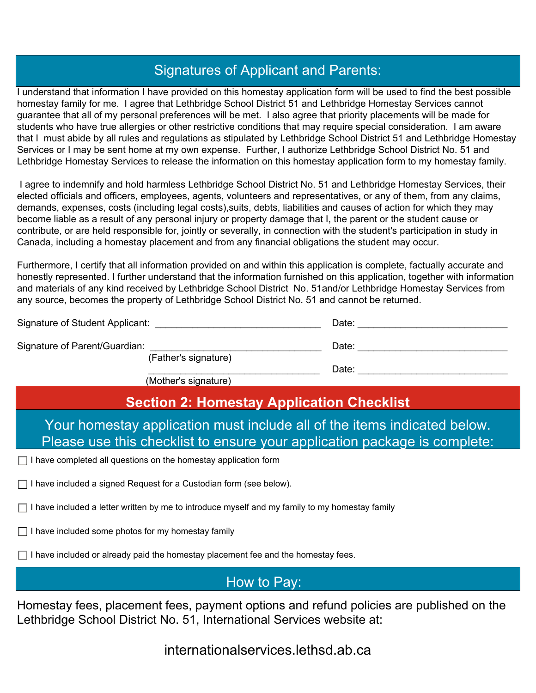## Signatures of Applicant and Parents:

I understand that information I have provided on this homestay application form will be used to find the best possible homestay family for me. I agree that Lethbridge School District 51 and Lethbridge Homestay Services cannot guarantee that all of my personal preferences will be met. I also agree that priority placements will be made for students who have true allergies or other restrictive conditions that may require special consideration. I am aware that I must abide by all rules and regulations as stipulated by Lethbridge School District 51 and Lethbridge Homestay Services or I may be sent home at my own expense. Further, I authorize Lethbridge School District No. 51 and Lethbridge Homestay Services to release the information on this homestay application form to my homestay family.

 I agree to indemnify and hold harmless Lethbridge School District No. 51 and Lethbridge Homestay Services, their elected officials and officers, employees, agents, volunteers and representatives, or any of them, from any claims, demands, expenses, costs (including legal costs),suits, debts, liabilities and causes of action for which they may become liable as a result of any personal injury or property damage that I, the parent or the student cause or contribute, or are held responsible for, jointly or severally, in connection with the student's participation in study in Canada, including a homestay placement and from any financial obligations the student may occur.

Furthermore, I certify that all information provided on and within this application is complete, factually accurate and honestly represented. I further understand that the information furnished on this application, together with information and materials of any kind received by Lethbridge School District No. 51and/or Lethbridge Homestay Services from any source, becomes the property of Lethbridge School District No. 51 and cannot be returned.

| Signature of Student Applicant: |                                                                                                                                                                 | Date: |
|---------------------------------|-----------------------------------------------------------------------------------------------------------------------------------------------------------------|-------|
| Signature of Parent/Guardian:   |                                                                                                                                                                 | Date: |
|                                 | (Father's signature)<br>$\lambda$ and $\lambda$ and $\lambda$ and $\lambda$ and $\lambda$ and $\lambda$ and $\lambda$ and $\lambda$ and $\lambda$ and $\lambda$ | Date: |

(Mother's signature)

## **Section 2: Homestay Application Checklist**

Your homestay application must include all of the items indicated below. Please use this checklist to ensure your application package is complete:

 $\Box$  I have completed all questions on the homestay application form

 $\Box$  I have included a signed Request for a Custodian form (see below).

 $\Box$  I have included a letter written by me to introduce myself and my family to my homestay family

 $\Box$  I have included some photos for my homestay family

 $\Box$  I have included or already paid the homestay placement fee and the homestay fees.

How to Pay:

Homestay fees, placement fees, payment options and refund policies are published on the Lethbridge School District No. 51, International Services website at:

internationalservices.lethsd.ab.ca